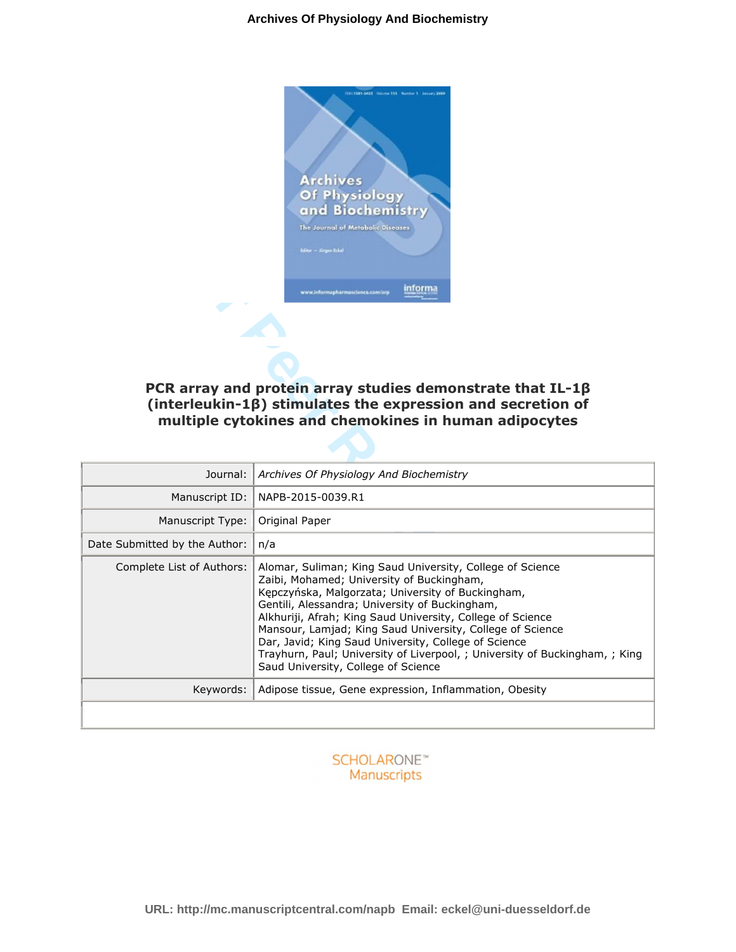

# **PCR array and protein array studies demonstrate that IL-1β (interleukin-1β) stimulates the expression and secretion of multiple cytokines and chemokines in human adipocytes**

|                               | The Journal of Metabolic Diseas<br>Editor - Kingen Eckel<br>informa<br>ww.informapharmascience.com/arp<br>PCR array and protein array studies demonstrate that $IL-1\beta$<br>$(interleukin-1\beta)$ stimulates the expression and secretion of<br>multiple cytokines and chemokines in human adipocytes                                                                                                                                                                                                               |
|-------------------------------|------------------------------------------------------------------------------------------------------------------------------------------------------------------------------------------------------------------------------------------------------------------------------------------------------------------------------------------------------------------------------------------------------------------------------------------------------------------------------------------------------------------------|
| Journal:                      | Archives Of Physiology And Biochemistry                                                                                                                                                                                                                                                                                                                                                                                                                                                                                |
| Manuscript ID:                | NAPB-2015-0039.R1                                                                                                                                                                                                                                                                                                                                                                                                                                                                                                      |
| Manuscript Type:              | Original Paper                                                                                                                                                                                                                                                                                                                                                                                                                                                                                                         |
| Date Submitted by the Author: | n/a                                                                                                                                                                                                                                                                                                                                                                                                                                                                                                                    |
| Complete List of Authors:     | Alomar, Suliman; King Saud University, College of Science<br>Zaibi, Mohamed; University of Buckingham,<br>Kępczyńska, Malgorzata; University of Buckingham,<br>Gentili, Alessandra; University of Buckingham,<br>Alkhuriji, Afrah; King Saud University, College of Science<br>Mansour, Lamjad; King Saud University, College of Science<br>Dar, Javid; King Saud University, College of Science<br>Trayhurn, Paul; University of Liverpool, ; University of Buckingham, ; King<br>Saud University, College of Science |
| Keywords:                     | Adipose tissue, Gene expression, Inflammation, Obesity                                                                                                                                                                                                                                                                                                                                                                                                                                                                 |
|                               |                                                                                                                                                                                                                                                                                                                                                                                                                                                                                                                        |

# **SCHOLARONE™** Manuscripts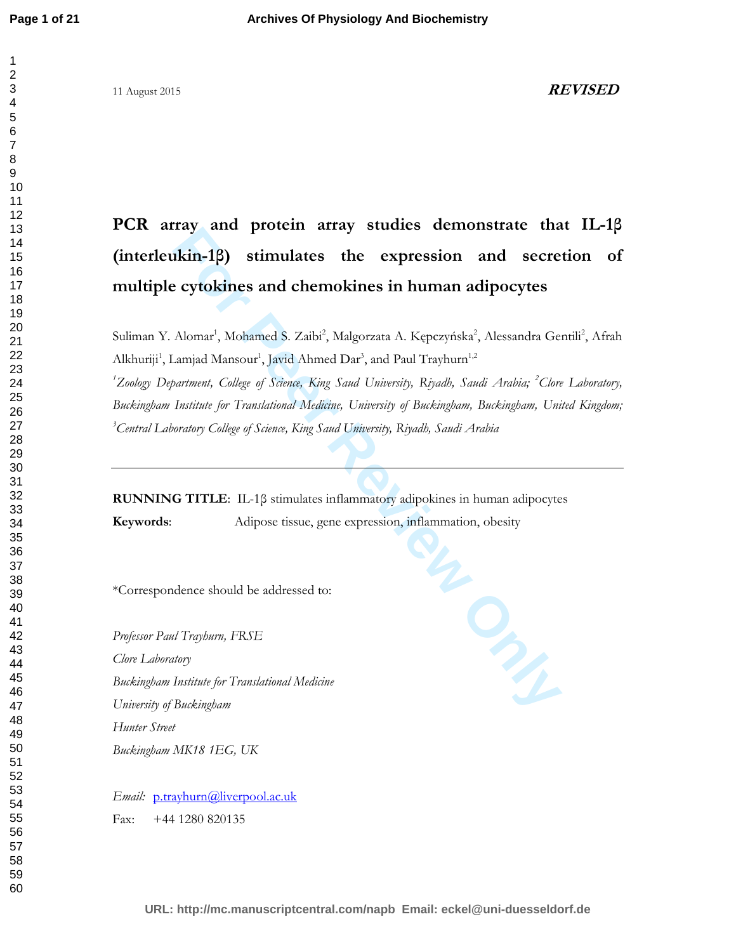# 11 August 2015 **REVISED**

# **PCR array and protein array studies demonstrate that IL-1β (interleukin-1β) stimulates the expression and secretion of multiple cytokines and chemokines in human adipocytes**

Suliman Y. Alomar<sup>1</sup>, Mohamed S. Zaibi<sup>2</sup>, Malgorzata A. Kępczyńska<sup>2</sup>, Alessandra Gentili<sup>2</sup>, Afrah Alkhuriji<sup>1</sup>, Lamjad Mansour<sup>1</sup>, Javid Ahmed Dar<sup>3</sup>, and Paul Trayhurn<sup>1,2</sup> <sup>1</sup>*Zoology Department, College of Science, King Saud University, Riyadh, Saudi Arabia; <sup>2</sup><i>Clore Laboratory, Buckingham Institute for Translational Medicine, University of Buckingham, Buckingham, United Kingdom; Central Laboratory College of Science, King Saud University, Riyadh, Saudi Arabia* 

**RUNNING TITLE**: IL-1β stimulates inflammatory adipokines in human adipocytes Adipose tissue, gene expression, inflammation, obesity

\*Correspondence should be addressed to:

**For Paul Transfer Review of the Adipose tissue, gene expression, inflammation, obesity<br>
For Peer Review of the Adicia Section 2016<br>
Professor Paul Trayburn, FRSE<br>** *Clore Laboratory***<br>** *Buckingbam Institute for Translationa Professor Paul Trayhurn, FRSE Clore Laboratory Buckingham Institute for Translational Medicine University of Buckingham Hunter Street Buckingham MK18 1EG, UK* 

*Email:* p.trayhurn@liverpool.ac.uk Fax: +44 1280 820135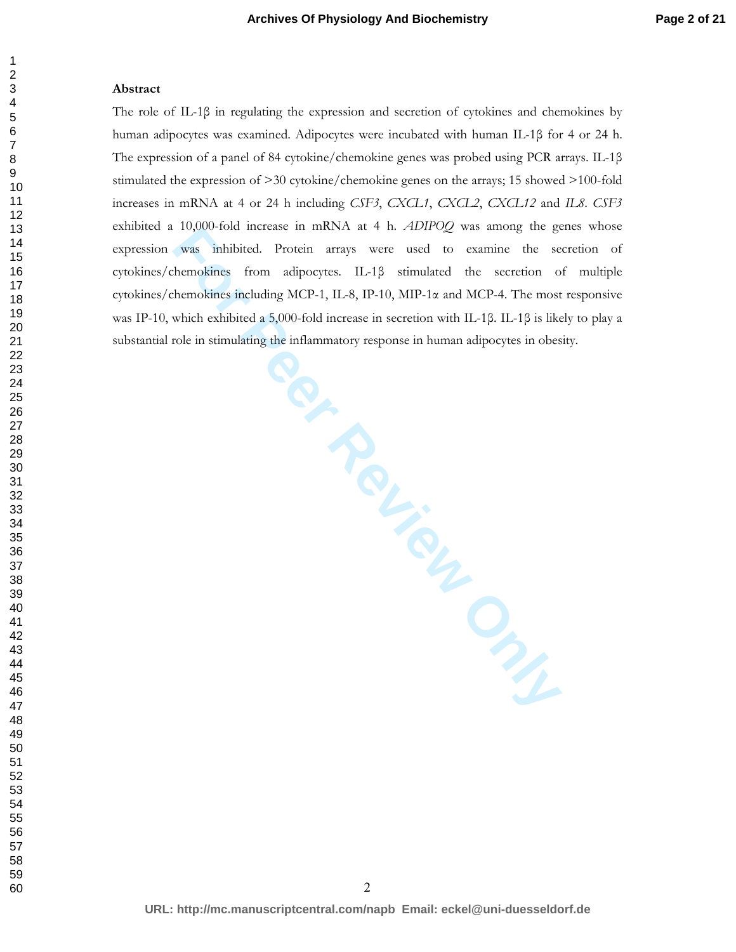#### **Abstract**

**FOR THE PROVIDED STATES** The role of IL-1β in regulating the expression and secretion of cytokines and chemokines by human adipocytes was examined. Adipocytes were incubated with human IL-1β for 4 or 24 h. The expression of a panel of 84 cytokine/chemokine genes was probed using PCR arrays. IL-1β stimulated the expression of >30 cytokine/chemokine genes on the arrays; 15 showed >100-fold increases in mRNA at 4 or 24 h including *CSF3*, *CXCL1*, *CXCL2*, *CXCL12* and *IL8*. *CSF3* exhibited a 10,000-fold increase in mRNA at 4 h. *ADIPOQ* was among the genes whose expression was inhibited. Protein arrays were used to examine the secretion of cytokines/chemokines from adipocytes. IL-1β stimulated the secretion of multiple cytokines/chemokines including MCP-1, IL-8, IP-10, MIP-1α and MCP-4. The most responsive was IP-10, which exhibited a 5,000-fold increase in secretion with IL-1β. IL-1β is likely to play a substantial role in stimulating the inflammatory response in human adipocytes in obesity.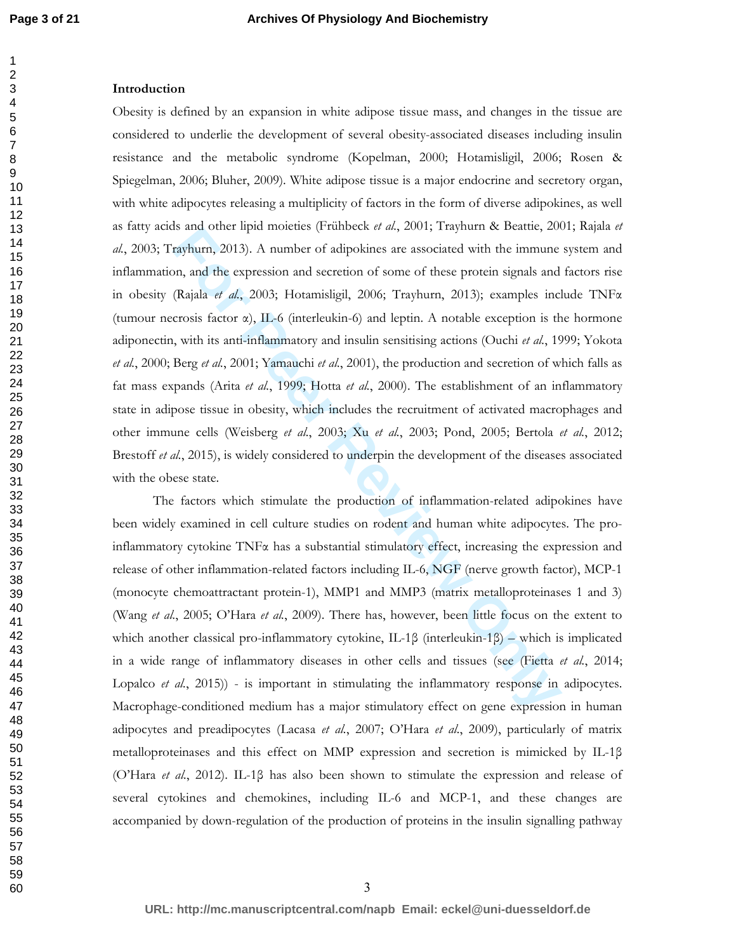#### **Introduction**

Is and other mpu moients (Frimbeck *u al.*, 2001; Frightum & beating, 200<br>
rayhum, 2013). A number of adipokines are associated with the immune<br>
on, and the expression and secretion of some of these protein signals and<br>
( Obesity is defined by an expansion in white adipose tissue mass, and changes in the tissue are considered to underlie the development of several obesity-associated diseases including insulin resistance and the metabolic syndrome (Kopelman, 2000; Hotamisligil, 2006; Rosen & Spiegelman, 2006; Bluher, 2009). White adipose tissue is a major endocrine and secretory organ, with white adipocytes releasing a multiplicity of factors in the form of diverse adipokines, as well as fatty acids and other lipid moieties (Frühbeck *et al.*, 2001; Trayhurn & Beattie, 2001; Rajala *et al.*, 2003; Trayhurn, 2013). A number of adipokines are associated with the immune system and inflammation, and the expression and secretion of some of these protein signals and factors rise in obesity (Rajala *et al.*, 2003; Hotamisligil, 2006; Trayhurn, 2013); examples include TNFα (tumour necrosis factor α), IL-6 (interleukin-6) and leptin. A notable exception is the hormone adiponectin, with its anti-inflammatory and insulin sensitising actions (Ouchi *et al.*, 1999; Yokota *et al.*, 2000; Berg *et al.*, 2001; Yamauchi *et al.*, 2001), the production and secretion of which falls as fat mass expands (Arita *et al.*, 1999; Hotta *et al.*, 2000). The establishment of an inflammatory state in adipose tissue in obesity, which includes the recruitment of activated macrophages and other immune cells (Weisberg *et al.*, 2003; Xu *et al.*, 2003; Pond, 2005; Bertola *et al.*, 2012; Brestoff *et al.*, 2015), is widely considered to underpin the development of the diseases associated with the obese state.

 The factors which stimulate the production of inflammation-related adipokines have been widely examined in cell culture studies on rodent and human white adipocytes. The proinflammatory cytokine  $TNF\alpha$  has a substantial stimulatory effect, increasing the expression and release of other inflammation-related factors including IL-6, NGF (nerve growth factor), MCP-1 (monocyte chemoattractant protein-1), MMP1 and MMP3 (matrix metalloproteinases 1 and 3) (Wang *et al.*, 2005; O'Hara *et al.*, 2009). There has, however, been little focus on the extent to which another classical pro-inflammatory cytokine, IL-1β (interleukin-1β) – which is implicated in a wide range of inflammatory diseases in other cells and tissues (see (Fietta *et al.*, 2014; Lopalco *et al.*, 2015)) - is important in stimulating the inflammatory response in adipocytes. Macrophage-conditioned medium has a major stimulatory effect on gene expression in human adipocytes and preadipocytes (Lacasa *et al.*, 2007; O'Hara *et al.*, 2009), particularly of matrix metalloproteinases and this effect on MMP expression and secretion is mimicked by IL-1β (O'Hara *et al.*, 2012). IL-1β has also been shown to stimulate the expression and release of several cytokines and chemokines, including IL-6 and MCP-1, and these changes are accompanied by down-regulation of the production of proteins in the insulin signalling pathway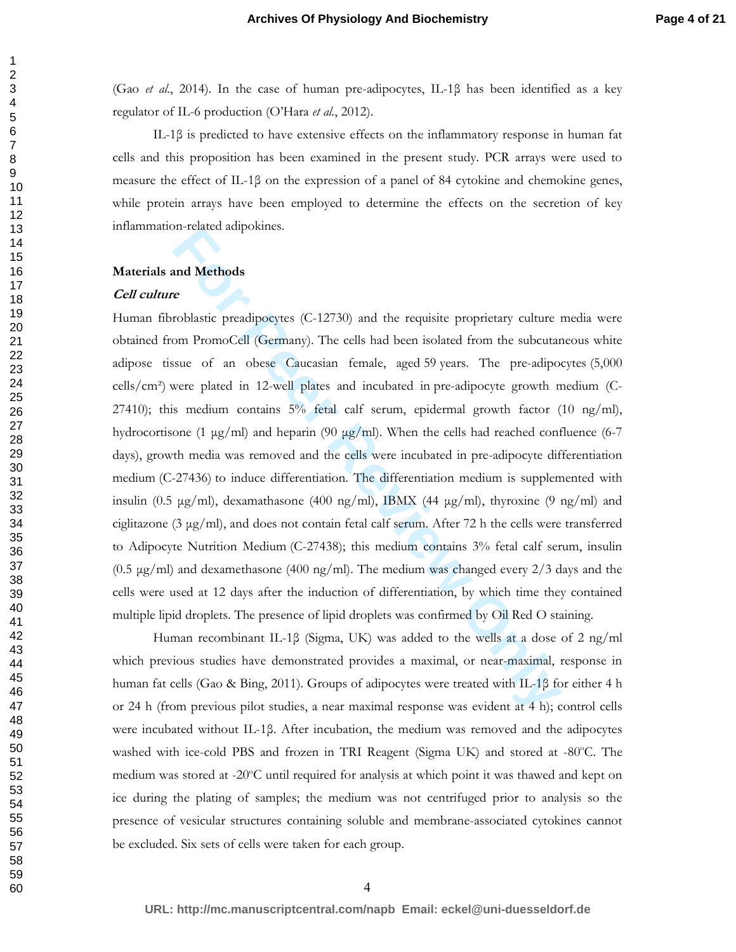(Gao *et al.*, 2014). In the case of human pre-adipocytes, IL-1β has been identified as a key regulator of IL-6 production (O'Hara *et al.*, 2012).

IL-1β is predicted to have extensive effects on the inflammatory response in human fat cells and this proposition has been examined in the present study. PCR arrays were used to measure the effect of IL-1β on the expression of a panel of 84 cytokine and chemokine genes, while protein arrays have been employed to determine the effects on the secretion of key inflammation-related adipokines.

#### **Materials and Methods**

#### **Cell culture**

**EXECUTE THE CONSTRANT CONDUGATE CONSTRANT CONDIG CONDING THE CONDISTING CONDISTING THE CONDIST CONDUCT TO PROPORABLY CONDIST THE PREVIEW ONLY AND SERVE PROPORTED THE PREVIEW PROTHER SHOW THE PREVIEW PROPORT PROPORT PROPOR** Human fibroblastic preadipocytes (C-12730) and the requisite proprietary culture media were obtained from PromoCell (Germany). The cells had been isolated from the subcutaneous white adipose tissue of an obese Caucasian female, aged 59 years. The pre-adipocytes (5,000 cells/cm²) were plated in 12-well plates and incubated in pre-adipocyte growth medium (C-27410); this medium contains 5% fetal calf serum, epidermal growth factor (10 ng/ml), hydrocortisone (1  $\mu$ g/ml) and heparin (90  $\mu$ g/ml). When the cells had reached confluence (6-7 days), growth media was removed and the cells were incubated in pre-adipocyte differentiation medium (C-27436) to induce differentiation. The differentiation medium is supplemented with insulin (0.5  $\mu$ g/ml), dexamathasone (400 ng/ml), IBMX (44  $\mu$ g/ml), thyroxine (9 ng/ml) and ciglitazone (3 µg/ml), and does not contain fetal calf serum. After 72 h the cells were transferred to Adipocyte Nutrition Medium (C-27438); this medium contains 3% fetal calf serum, insulin  $(0.5 \text{ µg/ml})$  and dexamethasone  $(400 \text{ ng/ml})$ . The medium was changed every  $2/3$  days and the cells were used at 12 days after the induction of differentiation, by which time they contained multiple lipid droplets. The presence of lipid droplets was confirmed by Oil Red O staining.

Human recombinant IL-1β (Sigma, UK) was added to the wells at a dose of 2 ng/ml which previous studies have demonstrated provides a maximal, or near-maximal, response in human fat cells (Gao & Bing, 2011). Groups of adipocytes were treated with IL-1β for either 4 h or 24 h (from previous pilot studies, a near maximal response was evident at 4 h); control cells were incubated without IL-1β. After incubation, the medium was removed and the adipocytes washed with ice-cold PBS and frozen in TRI Reagent (Sigma UK) and stored at -80°C. The medium was stored at -20°C until required for analysis at which point it was thawed and kept on ice during the plating of samples; the medium was not centrifuged prior to analysis so the presence of vesicular structures containing soluble and membrane-associated cytokines cannot be excluded. Six sets of cells were taken for each group.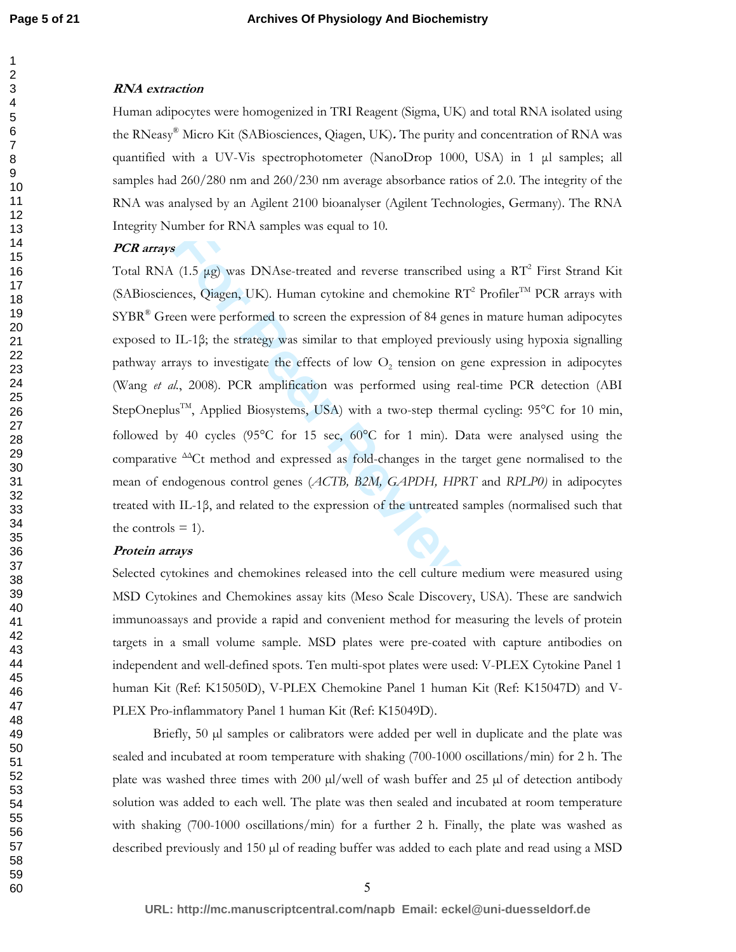#### **RNA extraction**

Human adipocytes were homogenized in TRI Reagent (Sigma, UK) and total RNA isolated using the RNeasy® Micro Kit (SABiosciences, Qiagen, UK)**.** The purity and concentration of RNA was quantified with a UV-Vis spectrophotometer (NanoDrop 1000, USA) in 1 µl samples; all samples had 260/280 nm and 260/230 nm average absorbance ratios of 2.0. The integrity of the RNA was analysed by an Agilent 2100 bioanalyser (Agilent Technologies, Germany). The RNA Integrity Number for RNA samples was equal to 10.

### **PCR arrays**

**For Perrony Standard School Conservation** (1.5 µg) was DNAse-treated and reverse transcribed using a RT<sup>2</sup> First (1.5 µg) was DNAse-treated and reverse transcribed using a RT<sup>2</sup> First crees, Qiagen, UK). Human cytokine an Total RNA (1.5  $\mu$ g) was DNAse-treated and reverse transcribed using a RT<sup>2</sup> First Strand Kit (SABiosciences, Qiagen, UK). Human cytokine and chemokine  $RT^2$  Profiler<sup>TM</sup> PCR arrays with SYBR® Green were performed to screen the expression of 84 genes in mature human adipocytes exposed to IL-1β; the strategy was similar to that employed previously using hypoxia signalling pathway arrays to investigate the effects of low  $O_2$  tension on gene expression in adipocytes (Wang *et al.*, 2008). PCR amplification was performed using real-time PCR detection (ABI StepOneplus<sup>TM</sup>, Applied Biosystems, USA) with a two-step thermal cycling: 95°C for 10 min, followed by 40 cycles (95 $^{\circ}$ C for 15 sec, 60 $^{\circ}$ C for 1 min). Data were analysed using the comparative  $\triangle^{\Delta}$ Ct method and expressed as fold-changes in the target gene normalised to the mean of endogenous control genes (*ACTB, B2M, GAPDH, HPRT* and *RPLP0)* in adipocytes treated with IL-1β, and related to the expression of the untreated samples (normalised such that the controls  $= 1$ ).

#### **Protein arrays**

Selected cytokines and chemokines released into the cell culture medium were measured using MSD Cytokines and Chemokines assay kits (Meso Scale Discovery, USA). These are sandwich immunoassays and provide a rapid and convenient method for measuring the levels of protein targets in a small volume sample. MSD plates were pre-coated with capture antibodies on independent and well-defined spots. Ten multi-spot plates were used: V-PLEX Cytokine Panel 1 human Kit (Ref: K15050D), V-PLEX Chemokine Panel 1 human Kit (Ref: K15047D) and V-PLEX Pro-inflammatory Panel 1 human Kit (Ref: K15049D).

Briefly, 50  $\mu$ l samples or calibrators were added per well in duplicate and the plate was sealed and incubated at room temperature with shaking (700-1000 oscillations/min) for 2 h. The plate was washed three times with 200  $\mu$ /well of wash buffer and 25  $\mu$ l of detection antibody solution was added to each well. The plate was then sealed and incubated at room temperature with shaking (700-1000 oscillations/min) for a further 2 h. Finally, the plate was washed as described previously and 150 µl of reading buffer was added to each plate and read using a MSD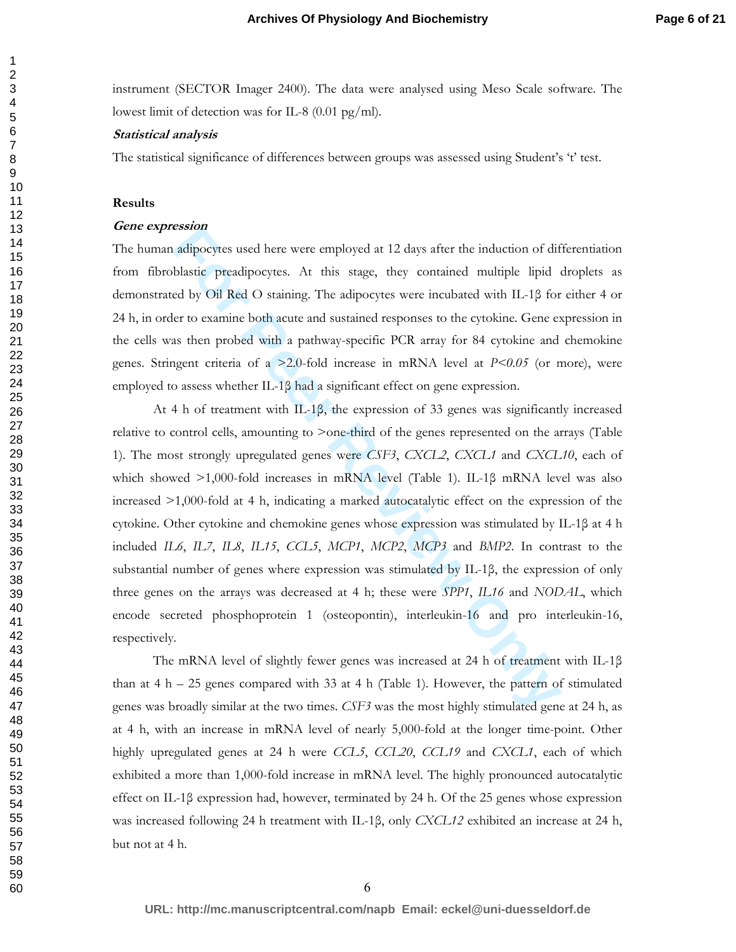instrument (SECTOR Imager 2400). The data were analysed using Meso Scale software. The lowest limit of detection was for IL-8 (0.01 pg/ml).

#### **Statistical analysis**

The statistical significance of differences between groups was assessed using Student's 't' test.

#### **Results**

#### **Gene expression**

The human adipocytes used here were employed at 12 days after the induction of differentiation from fibroblastic preadipocytes. At this stage, they contained multiple lipid droplets as demonstrated by Oil Red O staining. The adipocytes were incubated with IL-1β for either 4 or 24 h, in order to examine both acute and sustained responses to the cytokine. Gene expression in the cells was then probed with a pathway-specific PCR array for 84 cytokine and chemokine genes. Stringent criteria of a >2.0-fold increase in mRNA level at *P<0.05* (or more), were employed to assess whether IL-1β had a significant effect on gene expression.

**EXECUTE:** 1.000-fold at 4 b, indicating a marked attical by the endomological or other or oxidation of diffusive preadipocytes. At this stage, they contained multiple lipid of by Oil Red O staining. The adipocytes were i At 4 h of treatment with IL-1β, the expression of 33 genes was significantly increased relative to control cells, amounting to >one-third of the genes represented on the arrays (Table 1). The most strongly upregulated genes were *CSF3*, *CXCL2*, *CXCL1* and *CXCL10*, each of which showed >1,000-fold increases in mRNA level (Table 1). IL-1β mRNA level was also increased >1,000-fold at 4 h, indicating a marked autocatalytic effect on the expression of the cytokine. Other cytokine and chemokine genes whose expression was stimulated by IL-1β at 4 h included *IL6*, *IL7*, *IL8*, *IL15*, *CCL5*, *MCP1*, *MCP2*, *MCP3* and *BMP2*. In contrast to the substantial number of genes where expression was stimulated by IL-1β, the expression of only three genes on the arrays was decreased at 4 h; these were *SPP1*, *IL16* and *NODAL*, which encode secreted phosphoprotein 1 (osteopontin), interleukin-16 and pro interleukin-16, respectively.

 The mRNA level of slightly fewer genes was increased at 24 h of treatment with IL-1β than at  $4 h - 25$  genes compared with 33 at  $4 h$  (Table 1). However, the pattern of stimulated genes was broadly similar at the two times. *CSF3* was the most highly stimulated gene at 24 h, as at 4 h, with an increase in mRNA level of nearly 5,000-fold at the longer time-point. Other highly upregulated genes at 24 h were *CCL5*, *CCL20*, *CCL19* and *CXCL1*, each of which exhibited a more than 1,000-fold increase in mRNA level. The highly pronounced autocatalytic effect on IL-1β expression had, however, terminated by 24 h. Of the 25 genes whose expression was increased following 24 h treatment with IL-1β, only *CXCL12* exhibited an increase at 24 h, but not at 4 h.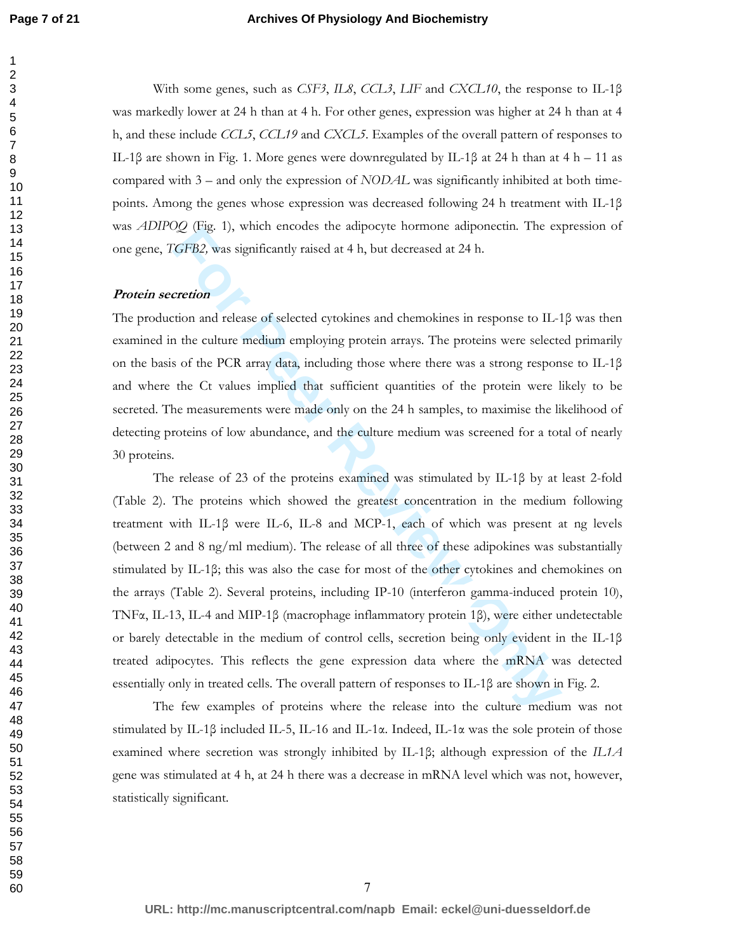#### **Archives Of Physiology And Biochemistry**

With some genes, such as *CSF3*, *IL8*, *CCL3*, *LIF* and *CXCL10*, the response to IL-1β was markedly lower at 24 h than at 4 h. For other genes, expression was higher at 24 h than at 4 h, and these include *CCL5*, *CCL19* and *CXCL5*. Examples of the overall pattern of responses to IL-1β are shown in Fig. 1. More genes were downregulated by IL-1β at 24 h than at 4 h – 11 as compared with 3 – and only the expression of *NODAL* was significantly inhibited at both timepoints. Among the genes whose expression was decreased following 24 h treatment with IL-1β was *ADIPOQ* (Fig. 1), which encodes the adipocyte hormone adiponectin. The expression of one gene, *TGFB2,* was significantly raised at 4 h, but decreased at 24 h.

#### **Protein secretion**

The production and release of selected cytokines and chemokines in response to IL-1β was then examined in the culture medium employing protein arrays. The proteins were selected primarily on the basis of the PCR array data, including those where there was a strong response to IL-1 $\beta$ and where the Ct values implied that sufficient quantities of the protein were likely to be secreted. The measurements were made only on the 24 h samples, to maximise the likelihood of detecting proteins of low abundance, and the culture medium was screened for a total of nearly 30 proteins.

*ng* (rig. 1), winen encodes the adpooyte nominole adponentia. The ex<br> **GFB2**, was significantly raised at 4 h, but decreased at 24 h.<br> **For PEP**, was significantly raised at 4 h, but decreased at 24 h.<br> **For PEP**, was si The release of 23 of the proteins examined was stimulated by IL-1β by at least 2-fold (Table 2). The proteins which showed the greatest concentration in the medium following treatment with IL-1β were IL-6, IL-8 and MCP-1, each of which was present at ng levels (between 2 and 8 ng/ml medium). The release of all three of these adipokines was substantially stimulated by IL-1β; this was also the case for most of the other cytokines and chemokines on the arrays (Table 2). Several proteins, including IP-10 (interferon gamma-induced protein 10), TNFα, IL-13, IL-4 and MIP-1β (macrophage inflammatory protein 1β), were either undetectable or barely detectable in the medium of control cells, secretion being only evident in the IL-1β treated adipocytes. This reflects the gene expression data where the mRNA was detected essentially only in treated cells. The overall pattern of responses to IL-1β are shown in Fig. 2.

The few examples of proteins where the release into the culture medium was not stimulated by IL-1β included IL-5, IL-16 and IL-1α. Indeed, IL-1α was the sole protein of those examined where secretion was strongly inhibited by IL-1β; although expression of the *IL1A* gene was stimulated at 4 h, at 24 h there was a decrease in mRNA level which was not, however, statistically significant.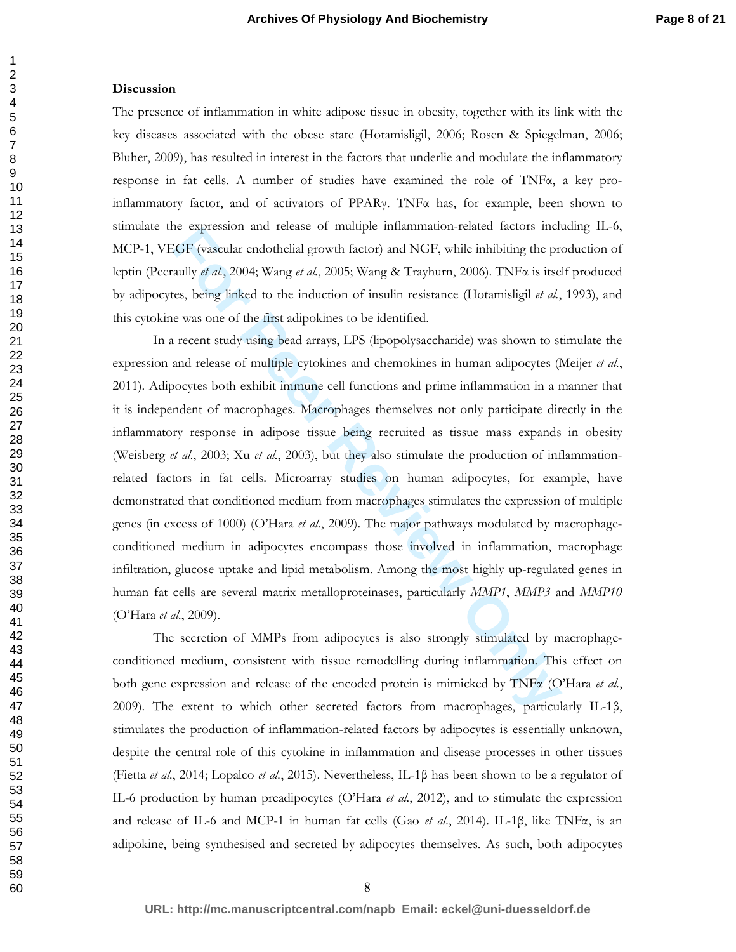#### **Discussion**

The presence of inflammation in white adipose tissue in obesity, together with its link with the key diseases associated with the obese state (Hotamisligil, 2006; Rosen & Spiegelman, 2006; Bluher, 2009), has resulted in interest in the factors that underlie and modulate the inflammatory response in fat cells. A number of studies have examined the role of TNF $\alpha$ , a key proinflammatory factor, and of activators of PPAR<sub>Y</sub>. TNF $\alpha$  has, for example, been shown to stimulate the expression and release of multiple inflammation-related factors including IL-6, MCP-1, VEGF (vascular endothelial growth factor) and NGF, while inhibiting the production of leptin (Peeraully *et al.*, 2004; Wang *et al.*, 2005; Wang & Trayhurn, 2006). TNFα is itself produced by adipocytes, being linked to the induction of insulin resistance (Hotamisligil *et al.*, 1993), and this cytokine was one of the first adipokines to be identified.

is expression and release of multiple minalmination-related factors included<br>*GF* (vascular endothelial growth factor) and NGF, while inhibiting the prailly  $d$   $d$ , 2004; Wang  $d$   $d$ , 2005; Wang & Trayhurn, 2006). TNFa i In a recent study using bead arrays, LPS (lipopolysaccharide) was shown to stimulate the expression and release of multiple cytokines and chemokines in human adipocytes (Meijer *et al.*, 2011). Adipocytes both exhibit immune cell functions and prime inflammation in a manner that it is independent of macrophages. Macrophages themselves not only participate directly in the inflammatory response in adipose tissue being recruited as tissue mass expands in obesity (Weisberg *et al.*, 2003; Xu *et al.*, 2003), but they also stimulate the production of inflammationrelated factors in fat cells. Microarray studies on human adipocytes, for example, have demonstrated that conditioned medium from macrophages stimulates the expression of multiple genes (in excess of 1000) (O'Hara *et al.*, 2009). The major pathways modulated by macrophageconditioned medium in adipocytes encompass those involved in inflammation, macrophage infiltration, glucose uptake and lipid metabolism. Among the most highly up-regulated genes in human fat cells are several matrix metalloproteinases, particularly *MMP1*, *MMP3* and *MMP10* (O'Hara *et al.*, 2009).

The secretion of MMPs from adipocytes is also strongly stimulated by macrophageconditioned medium, consistent with tissue remodelling during inflammation. This effect on both gene expression and release of the encoded protein is mimicked by TNFα (O'Hara *et al.*, 2009). The extent to which other secreted factors from macrophages, particularly IL-1β, stimulates the production of inflammation-related factors by adipocytes is essentially unknown, despite the central role of this cytokine in inflammation and disease processes in other tissues (Fietta *et al.*, 2014; Lopalco *et al.*, 2015). Nevertheless, IL-1β has been shown to be a regulator of IL-6 production by human preadipocytes (O'Hara *et al.*, 2012), and to stimulate the expression and release of IL-6 and MCP-1 in human fat cells (Gao *et al.*, 2014). IL-1β, like TNFα, is an adipokine, being synthesised and secreted by adipocytes themselves. As such, both adipocytes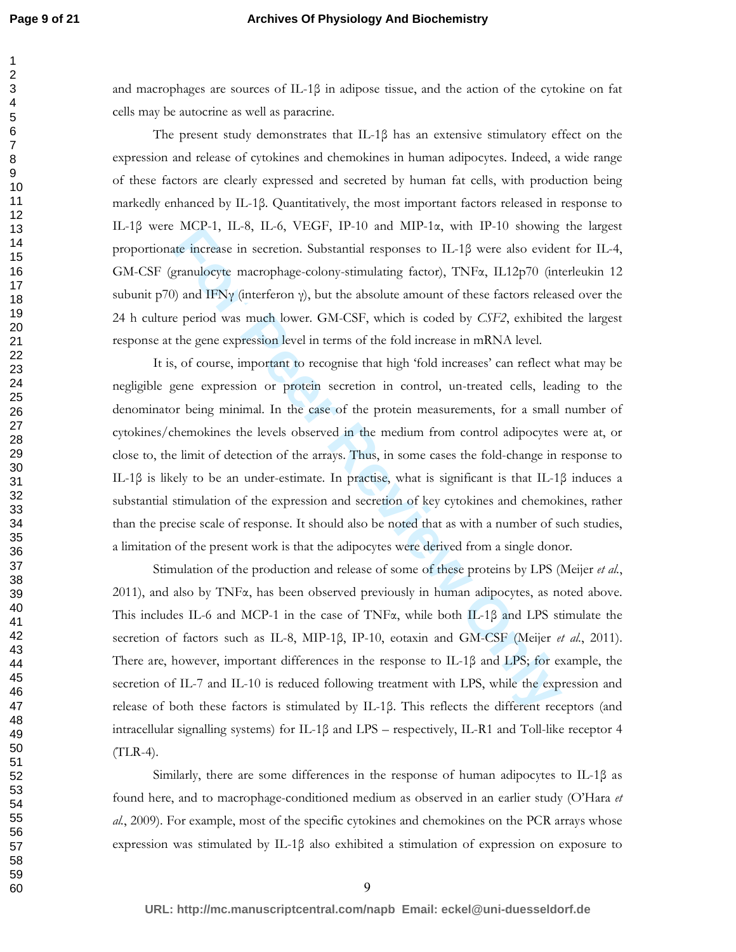# **Archives Of Physiology And Biochemistry**

and macrophages are sources of IL-1 $\beta$  in adipose tissue, and the action of the cytokine on fat cells may be autocrine as well as paracrine.

The present study demonstrates that IL-1β has an extensive stimulatory effect on the expression and release of cytokines and chemokines in human adipocytes. Indeed, a wide range of these factors are clearly expressed and secreted by human fat cells, with production being markedly enhanced by IL-1β. Quantitatively, the most important factors released in response to IL-1β were MCP-1, IL-8, IL-6, VEGF, IP-10 and MIP-1α, with IP-10 showing the largest proportionate increase in secretion. Substantial responses to IL-1β were also evident for IL-4, GM-CSF (granulocyte macrophage-colony-stimulating factor), TNFα, IL12p70 (interleukin 12 subunit p70) and IFNγ (interferon  $\gamma$ ), but the absolute amount of these factors released over the 24 h culture period was much lower. GM-CSF, which is coded by *CSF2*, exhibited the largest response at the gene expression level in terms of the fold increase in mRNA level.

For MCP-1, 11-0, 11-0, VEGP; IP-10 and MIP-12, WHI TP-10 showing<br>the increase in secretion. Substantial responses to IL-1β were also evident<br>granulocyte macrophage-colony-stimulating factor), TNFa, IL12p70 (int<br>y and IFNy It is, of course, important to recognise that high 'fold increases' can reflect what may be negligible gene expression or protein secretion in control, un-treated cells, leading to the denominator being minimal. In the case of the protein measurements, for a small number of cytokines/chemokines the levels observed in the medium from control adipocytes were at, or close to, the limit of detection of the arrays. Thus, in some cases the fold-change in response to IL-1β is likely to be an under-estimate. In practise, what is significant is that IL-1β induces a substantial stimulation of the expression and secretion of key cytokines and chemokines, rather than the precise scale of response. It should also be noted that as with a number of such studies, a limitation of the present work is that the adipocytes were derived from a single donor.

Stimulation of the production and release of some of these proteins by LPS (Meijer *et al.*, 2011), and also by  $TNF\alpha$ , has been observed previously in human adipocytes, as noted above. This includes IL-6 and MCP-1 in the case of TNFα, while both IL-1β and LPS stimulate the secretion of factors such as IL-8, MIP-1β, IP-10, eotaxin and GM-CSF (Meijer *et al.*, 2011). There are, however, important differences in the response to IL-1β and LPS; for example, the secretion of IL-7 and IL-10 is reduced following treatment with LPS, while the expression and release of both these factors is stimulated by IL-1β. This reflects the different receptors (and intracellular signalling systems) for IL-1β and LPS – respectively, IL-R1 and Toll-like receptor 4  $(TLR-4)$ .

Similarly, there are some differences in the response of human adipocytes to IL-1β as found here, and to macrophage-conditioned medium as observed in an earlier study (O'Hara *et al.*, 2009). For example, most of the specific cytokines and chemokines on the PCR arrays whose expression was stimulated by IL-1β also exhibited a stimulation of expression on exposure to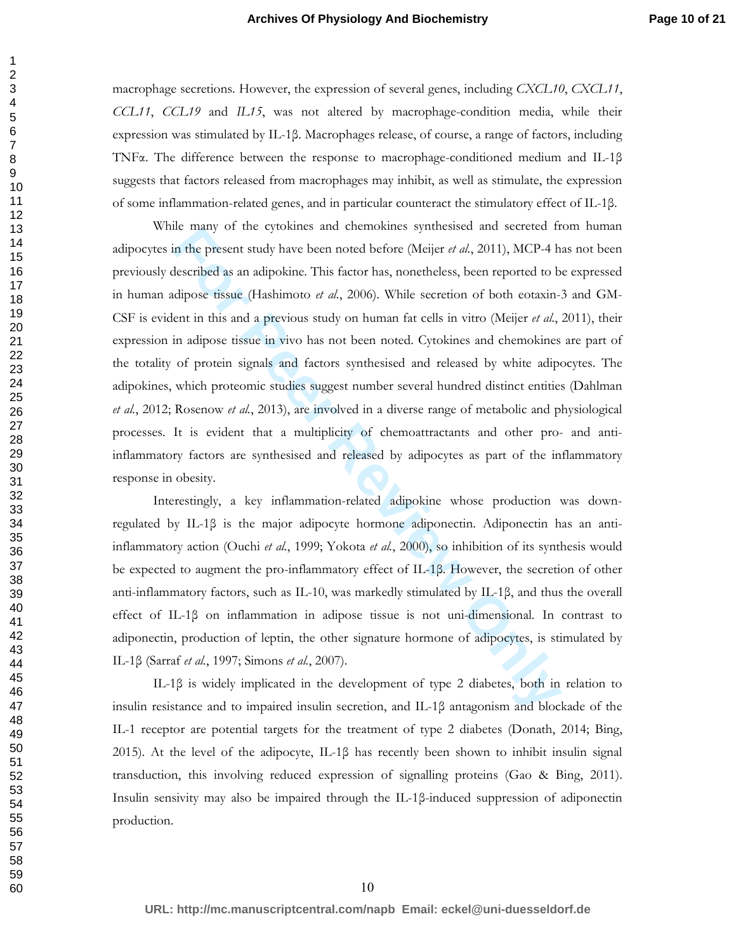macrophage secretions. However, the expression of several genes, including *CXCL10*, *CXCL11*, *CCL11*, *CCL19* and *IL15*, was not altered by macrophage-condition media, while their expression was stimulated by IL-1β. Macrophages release, of course, a range of factors, including TNFα. The difference between the response to macrophage-conditioned medium and IL-1β suggests that factors released from macrophages may inhibit, as well as stimulate, the expression of some inflammation-related genes, and in particular counteract the stimulatory effect of IL-1β.

The transformal of the cytosines and chemosines synthesised and secreted it<br>in the present study have been noted before (Meijer *et al.*, 2011), MCP-4 h<br>described as an adipokine. This factor has, nonetheless, been report While many of the cytokines and chemokines synthesised and secreted from human adipocytes in the present study have been noted before (Meijer *et al.*, 2011), MCP-4 has not been previously described as an adipokine. This factor has, nonetheless, been reported to be expressed in human adipose tissue (Hashimoto *et al.*, 2006). While secretion of both eotaxin-3 and GM-CSF is evident in this and a previous study on human fat cells in vitro (Meijer *et al.*, 2011), their expression in adipose tissue in vivo has not been noted. Cytokines and chemokines are part of the totality of protein signals and factors synthesised and released by white adipocytes. The adipokines, which proteomic studies suggest number several hundred distinct entities (Dahlman *et al.*, 2012; Rosenow *et al.*, 2013), are involved in a diverse range of metabolic and physiological processes. It is evident that a multiplicity of chemoattractants and other pro- and antiinflammatory factors are synthesised and released by adipocytes as part of the inflammatory response in obesity.

Interestingly, a key inflammation-related adipokine whose production was downregulated by IL-1β is the major adipocyte hormone adiponectin. Adiponectin has an antiinflammatory action (Ouchi *et al.*, 1999; Yokota *et al.*, 2000), so inhibition of its synthesis would be expected to augment the pro-inflammatory effect of IL-1β. However, the secretion of other anti-inflammatory factors, such as IL-10, was markedly stimulated by IL-1β, and thus the overall effect of IL-1β on inflammation in adipose tissue is not uni-dimensional. In contrast to adiponectin, production of leptin, the other signature hormone of adipocytes, is stimulated by IL-1β (Sarraf *et al.*, 1997; Simons *et al.*, 2007).

IL-1β is widely implicated in the development of type 2 diabetes, both in relation to insulin resistance and to impaired insulin secretion, and IL-1β antagonism and blockade of the IL-1 receptor are potential targets for the treatment of type 2 diabetes (Donath, 2014; Bing, 2015). At the level of the adipocyte, IL-1β has recently been shown to inhibit insulin signal transduction, this involving reduced expression of signalling proteins (Gao & Bing, 2011). Insulin sensivity may also be impaired through the IL-1β-induced suppression of adiponectin production.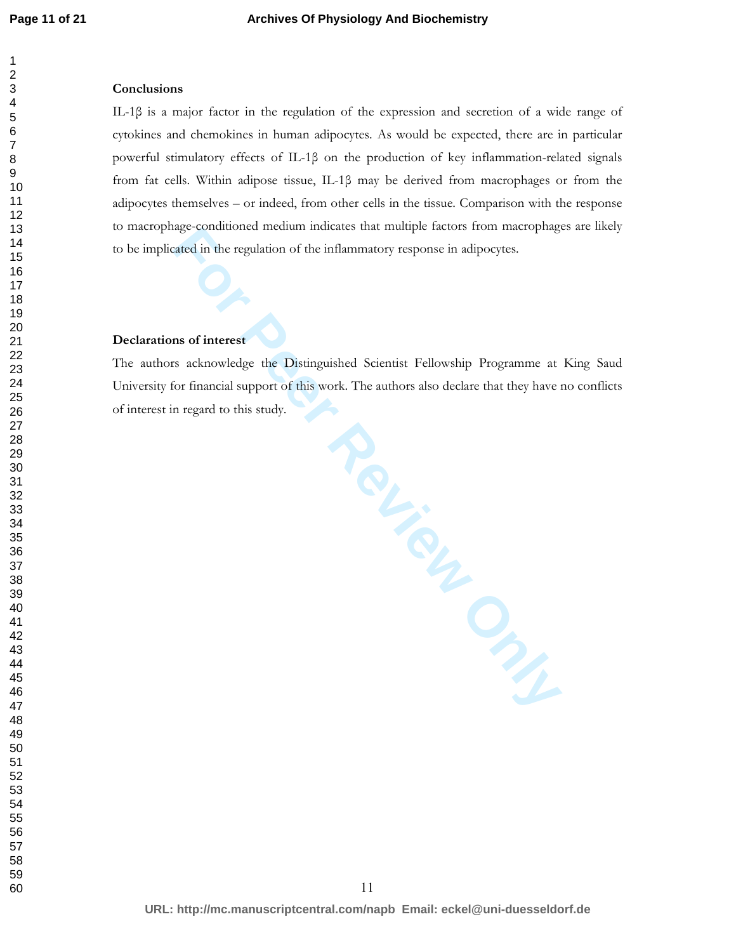# 

## **Conclusions**

IL-1β is a major factor in the regulation of the expression and secretion of a wide range of cytokines and chemokines in human adipocytes. As would be expected, there are in particular powerful stimulatory effects of IL-1β on the production of key inflammation-related signals from fat cells. Within adipose tissue, IL-1β may be derived from macrophages or from the adipocytes themselves – or indeed, from other cells in the tissue. Comparison with the response to macrophage-conditioned medium indicates that multiple factors from macrophages are likely to be implicated in the regulation of the inflammatory response in adipocytes.

# **Declarations of interest**

The authors acknowledge the Distinguished Scientist Fellowship Programme at King Saud University for financial support of this work. The authors also declare that they have no conflicts of interest in regard to this study.

**Review Only**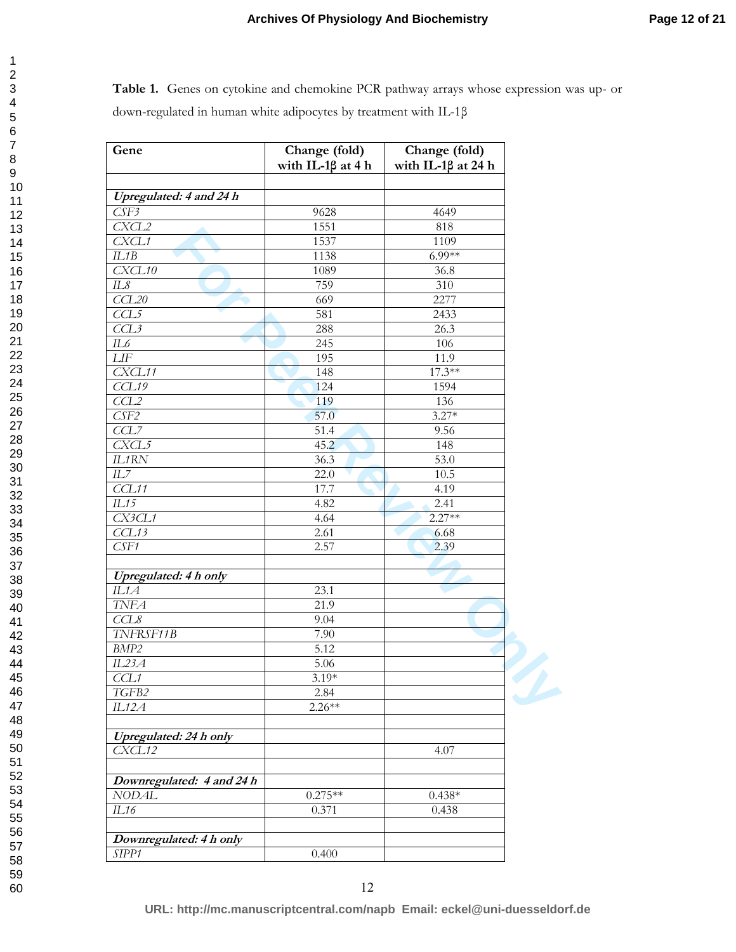**Table 1.** Genes on cytokine and chemokine PCR pathway arrays whose expression was up- or down-regulated in human white adipocytes by treatment with IL-1β

| Gene                         | Change (fold)<br>with IL-1 $\beta$ at 4 h | Change (fold)<br>with IL-18 at 24 h |  |
|------------------------------|-------------------------------------------|-------------------------------------|--|
|                              |                                           |                                     |  |
| Upregulated: 4 and 24 h      |                                           |                                     |  |
| CSE3                         | 9628                                      | 4649                                |  |
| CXCL2                        | 1551                                      | 818                                 |  |
| CXCL1                        | 1537                                      | 1109                                |  |
| ILIB                         | 1138                                      | $6.99**$                            |  |
| CXCL10                       | 1089                                      | 36.8                                |  |
| IL8                          | 759                                       | 310                                 |  |
| CCL20                        | 669                                       | 2277                                |  |
| CCL5                         | 581                                       | 2433                                |  |
| CCL3                         | 288                                       | 26.3                                |  |
| IL6                          | 245                                       | 106                                 |  |
| ${\it LIF}$                  | 195                                       | 11.9                                |  |
| CXCL11                       | 148                                       | $17.3**$                            |  |
| CCL19                        | 124                                       | 1594                                |  |
| CCL2                         | 119                                       | 136                                 |  |
| CSE2                         | 57.0                                      | $3.27*$                             |  |
| CCL7                         | 51.4                                      | 9.56                                |  |
| CXCL5                        | 45.2                                      | 148                                 |  |
| IL1RN                        | 36.3                                      | 53.0                                |  |
| IL7                          | 22.0                                      | $10.5\,$                            |  |
| CCL11                        | 17.7                                      | 4.19                                |  |
| IL15                         | 4.82                                      | 2.41                                |  |
| CX3CL1                       | 4.64                                      | $2.27**$                            |  |
| CCL13                        | 2.61                                      | 6.68                                |  |
| CSF1                         | 2.57                                      | 2.39                                |  |
|                              |                                           |                                     |  |
| <b>Upregulated: 4 h only</b> |                                           |                                     |  |
| IL1A                         | 23.1                                      |                                     |  |
| <b>TNFA</b>                  | $\overline{21.9}$                         |                                     |  |
| CCL8                         | 9.04                                      |                                     |  |
| TNFRSF11B                    | 7.90                                      |                                     |  |
| BMP2                         | 5.12                                      |                                     |  |
| IL23A                        | 5.06                                      |                                     |  |
| CCL1                         | $3.19*$                                   |                                     |  |
| TGFB2                        |                                           |                                     |  |
|                              | 2.84<br>$2.26**$                          |                                     |  |
| IL12A                        |                                           |                                     |  |
| Upregulated: 24 h only       |                                           |                                     |  |
| CXCL12                       |                                           | 4.07                                |  |
|                              |                                           |                                     |  |
| Downregulated: 4 and 24 h    |                                           |                                     |  |
| <b>NODAL</b>                 | $0.275**$                                 | $0.438*$                            |  |
| IL16                         | 0.371                                     | 0.438                               |  |
|                              |                                           |                                     |  |
| Downregulated: 4 h only      |                                           |                                     |  |
| SIPP1                        | 0.400                                     |                                     |  |

12

**URL: http://mc.manuscriptcentral.com/napb Email: eckel@uni-duesseldorf.de**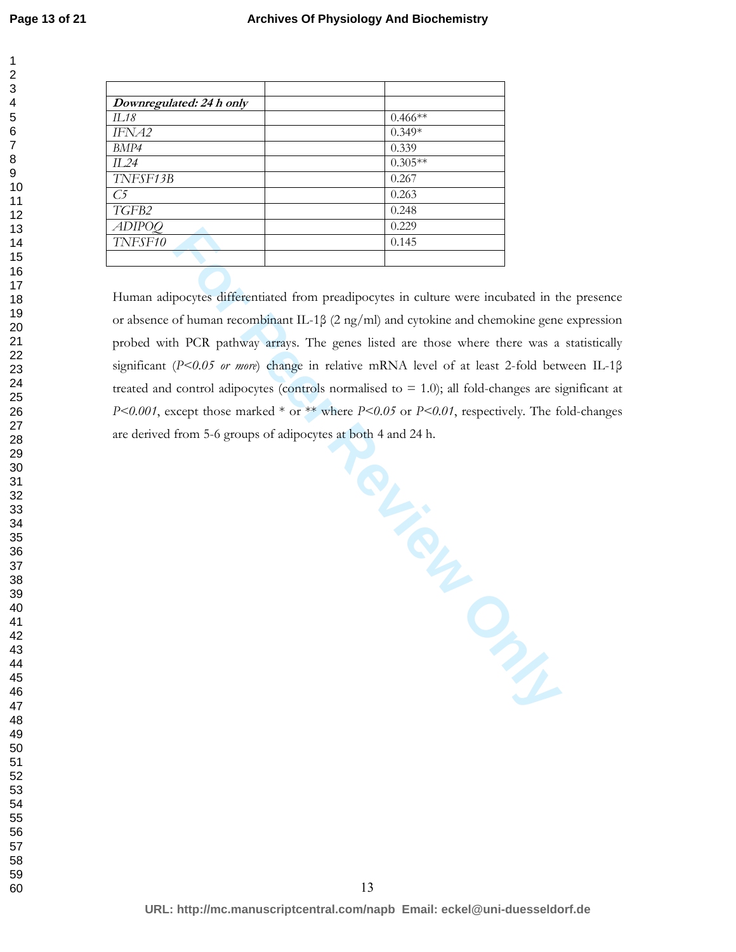| Downregulated: 24 h only |           |
|--------------------------|-----------|
| IL18                     | $0.466**$ |
| IFNA2                    | $0.349*$  |
| BMP4                     | 0.339     |
| II .24                   | $0.305**$ |
| TNFSF13B                 | 0.267     |
| С5                       | 0.263     |
| TGFB2                    | 0.248     |
| <i>ADIPOQ</i>            | 0.229     |
| TNFSF10                  | 0.145     |
|                          |           |

Human adipocytes differentiated from preadipocytes in culture were incubated in the presence or absence of human recombinant IL-1β (2 ng/ml) and cytokine and chemokine gene expression probed with PCR pathway arrays. The genes listed are those where there was a statistically significant (*P<0.05 or more*) change in relative mRNA level of at least 2-fold between IL-1β treated and control adipocytes (controls normalised to  $= 1.0$ ); all fold-changes are significant at *P<0.001*, except those marked \* or \*\* where *P<0.05* or *P<0.01*, respectively. The fold-changes are derived from 5-6 groups of adipocytes at both 4 and 24 h.

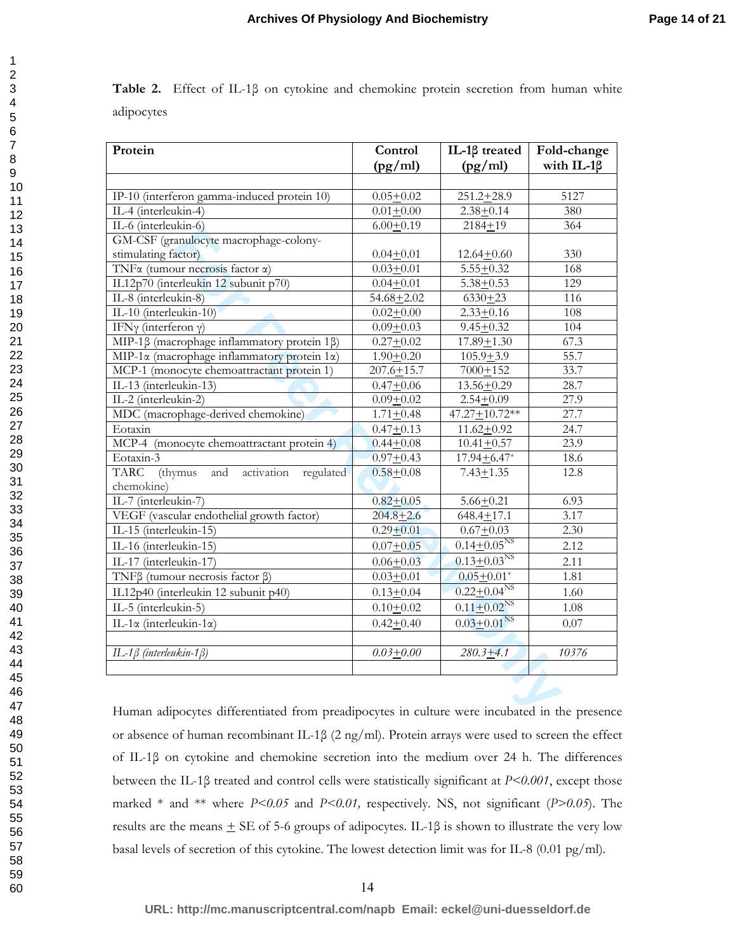|            |  |  | <b>Table 2.</b> Effect of IL-1 $\beta$ on cytokine and chemokine protein secretion from human white |  |  |  |
|------------|--|--|-----------------------------------------------------------------------------------------------------|--|--|--|
| adipocytes |  |  |                                                                                                     |  |  |  |

| Protein                                                                                      | Control        | IL-1β treated                 | Fold-change       |
|----------------------------------------------------------------------------------------------|----------------|-------------------------------|-------------------|
|                                                                                              | (pg/ml)        | (pg/ml)                       | with IL-1 $\beta$ |
|                                                                                              |                |                               |                   |
| IP-10 (interferon gamma-induced protein 10)                                                  | $0.05 + 0.02$  | $251.2 + 28.9$                | 5127              |
| IL-4 (interleukin-4)                                                                         | $0.01 + 0.00$  | $2.38 + 0.14$                 | 380               |
| IL-6 (interleukin-6)                                                                         | $6.00 + 0.19$  | $2184 + 19$                   | 364               |
| GM-CSF (granulocyte macrophage-colony-                                                       |                |                               |                   |
| stimulating factor)                                                                          | $0.04 + 0.01$  | $12.64 + 0.60$                | 330               |
| TNF <sub>a</sub> (tumour necrosis factor a)                                                  | $0.03 + 0.01$  | $5.55 + 0.32$                 | 168               |
| IL12p70 (interleukin 12 subunit p70)                                                         | $0.04 + 0.01$  | $5.38 + 0.53$                 | 129               |
| IL-8 (interleukin-8)                                                                         | $54.68 + 2.02$ | $6330 + 23$                   | 116               |
| IL-10 (interleukin-10)                                                                       | $0.02 + 0.00$  | $2.33 + 0.16$                 | 108               |
| IFNy (interferon $\gamma$ )                                                                  | $0.09 + 0.03$  | $9.45 + 0.32$                 | 104               |
| MIP-1β (macrophage inflammatory protein 1β)                                                  | $0.27 + 0.02$  | $17.89 + 1.30$                | 67.3              |
| MIP-1 $\alpha$ (macrophage inflammatory protein 1 $\alpha$ )                                 | $1.90 + 0.20$  | $105.9 + 3.9$                 | 55.7              |
| MCP-1 (monocyte chemoattractant protein 1)                                                   | $207.6 + 15.7$ | $7000 + 152$                  | 33.7              |
| IL-13 (interleukin-13)                                                                       | $0.47 + 0.06$  | $13.56 + 0.29$                | 28.7              |
| IL-2 (interleukin-2)                                                                         | $0.09 + 0.02$  | $2.54 + 0.09$                 | 27.9              |
| MDC (macrophage-derived chemokine)                                                           | $1.71 + 0.48$  | $47.27 \pm 10.72**$           | 27.7              |
| Eotaxin                                                                                      | $0.47 + 0.13$  | $11.62 + 0.92$                | 24.7              |
| MCP-4 (monocyte chemoattractant protein 4)                                                   | $0.44 + 0.08$  | $10.41 + 0.57$                | 23.9              |
| Eotaxin-3                                                                                    | $0.97 + 0.43$  | $17.94 \pm 6.47$ *            | $18.6\,$          |
| activation<br><b>TARC</b><br>and<br>regulated<br>(thymus<br>chemokine)                       | $0.58 + 0.08$  | $7.43 + 1.35$                 | 12.8              |
| IL-7 (interleukin-7)                                                                         | $0.82 + 0.05$  | $5.66 + 0.21$                 | 6.93              |
| VEGF (vascular endothelial growth factor)                                                    | $204.8 + 2.6$  | $648.4 \pm 17.1$              | 3.17              |
| IL-15 (interleukin-15)                                                                       | $0.29 + 0.01$  | $0.67 + 0.03$                 | 2.30              |
| IL-16 (interleukin-15)                                                                       |                | $0.14 \pm 0.05^{NS}$          | 2.12              |
|                                                                                              | $0.07 + 0.05$  |                               |                   |
| IL-17 (interleukin-17)                                                                       | $0.06 + 0.03$  | $0.13 \pm 0.03$ <sup>NS</sup> | 2.11              |
| TNF $\beta$ (tumour necrosis factor $\beta$ )                                                | $0.03 + 0.01$  | $0.05 \pm 0.01*$              | 1.81              |
| IL12p40 (interleukin 12 subunit p40)                                                         | $0.13 + 0.04$  | $0.22 \pm 0.04^{NS}$          | 1.60              |
| IL-5 (interleukin-5)                                                                         | $0.10 + 0.02$  | $0.11 \pm 0.02^{NS}$          | 1.08              |
| IL-1 $\alpha$ (interleukin-1 $\alpha$ )                                                      | $0.42 + 0.40$  | $0.03 \pm 0.01$ <sup>NS</sup> | 0.07              |
| IL-1 $\beta$ (interleukin-1 $\beta$ )                                                        | $0.03 + 0.00$  | $280.3 + 4.1$                 | 10376             |
|                                                                                              |                |                               |                   |
| Human adipocytes differentiated from preadipocytes in culture were incubated in the presence |                |                               |                   |

Human adipocytes differentiated from preadipocytes in culture were incubated in the presence or absence of human recombinant IL-1β (2 ng/ml). Protein arrays were used to screen the effect of IL-1β on cytokine and chemokine secretion into the medium over 24 h. The differences between the IL-1β treated and control cells were statistically significant at *P<0.001*, except those marked \* and \*\* where *P<0.05* and *P<0.01,* respectively. NS, not significant (*P>0.05*). The results are the means  $\pm$  SE of 5-6 groups of adipocytes. IL-1 $\beta$  is shown to illustrate the very low basal levels of secretion of this cytokine. The lowest detection limit was for IL-8 (0.01 pg/ml).

59 60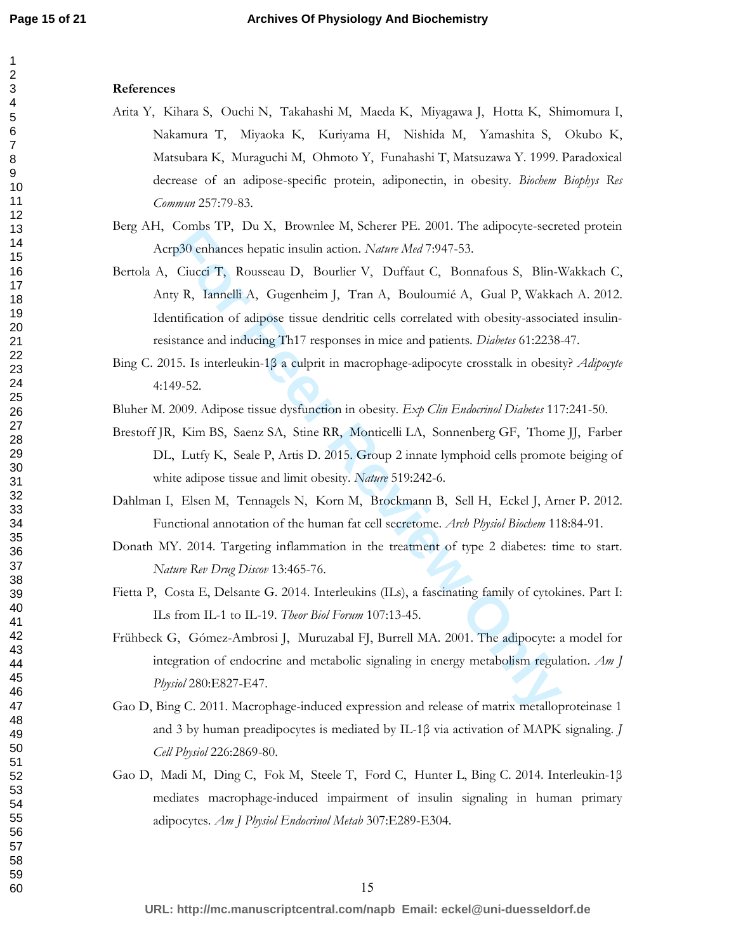#### **References**

- Arita Y, Kihara S, Ouchi N, Takahashi M, Maeda K, Miyagawa J, Hotta K, Shimomura I, Nakamura T, Miyaoka K, Kuriyama H, Nishida M, Yamashita S, Okubo K, Matsubara K, Muraguchi M, Ohmoto Y, Funahashi T, Matsuzawa Y. 1999. Paradoxical decrease of an adipose-specific protein, adiponectin, in obesity. *Biochem Biophys Res Commun* 257:79-83.
- Berg AH, Combs TP, Du X, Brownlee M, Scherer PE. 2001. The adipocyte-secreted protein Acrp30 enhances hepatic insulin action. *Nature Med* 7:947-53.
- Comiss TP, Du A, Brownlee M, Scheter PP. 2001. The ampocyte-sected p30 enhances hepatic insulin action. Nature *Med* 7:947-53.<br>Ciucci T, Rousseau D, Bourlier V, Duffaut C, Bonnafous S, Blin-Y<br>B, R, Iannelli A, Gugenheim J, Bertola A, Ciucci T, Rousseau D, Bourlier V, Duffaut C, Bonnafous S, Blin-Wakkach C, Anty R, Iannelli A, Gugenheim J, Tran A, Bouloumié A, Gual P, Wakkach A. 2012. Identification of adipose tissue dendritic cells correlated with obesity-associated insulinresistance and inducing Th17 responses in mice and patients. *Diabetes* 61:2238-47.
- Bing C. 2015. Is interleukin-1β a culprit in macrophage-adipocyte crosstalk in obesity? *Adipocyte*  4:149-52.
- Bluher M. 2009. Adipose tissue dysfunction in obesity. *Exp Clin Endocrinol Diabetes* 117:241-50.
- Brestoff JR, Kim BS, Saenz SA, Stine RR, Monticelli LA, Sonnenberg GF, Thome JJ, Farber DL, Lutfy K, Seale P, Artis D. 2015. Group 2 innate lymphoid cells promote beiging of white adipose tissue and limit obesity. *Nature* 519:242-6.
- Dahlman I, Elsen M, Tennagels N, Korn M, Brockmann B, Sell H, Eckel J, Arner P. 2012. Functional annotation of the human fat cell secretome. *Arch Physiol Biochem* 118:84-91.
- Donath MY. 2014. Targeting inflammation in the treatment of type 2 diabetes: time to start. *Nature Rev Drug Discov* 13:465-76.
- Fietta P, Costa E, Delsante G. 2014. Interleukins (ILs), a fascinating family of cytokines. Part I: ILs from IL-1 to IL-19. *Theor Biol Forum* 107:13-45.
- Frühbeck G, Gómez-Ambrosi J, Muruzabal FJ, Burrell MA. 2001. The adipocyte: a model for integration of endocrine and metabolic signaling in energy metabolism regulation. *Am J Physiol* 280:E827-E47.
- Gao D, Bing C. 2011. Macrophage-induced expression and release of matrix metalloproteinase 1 and 3 by human preadipocytes is mediated by IL-1β via activation of MAPK signaling. *J Cell Physiol* 226:2869-80.
- Gao D, Madi M, Ding C, Fok M, Steele T, Ford C, Hunter L, Bing C. 2014. Interleukin-1β mediates macrophage-induced impairment of insulin signaling in human primary adipocytes. *Am J Physiol Endocrinol Metab* 307:E289-E304.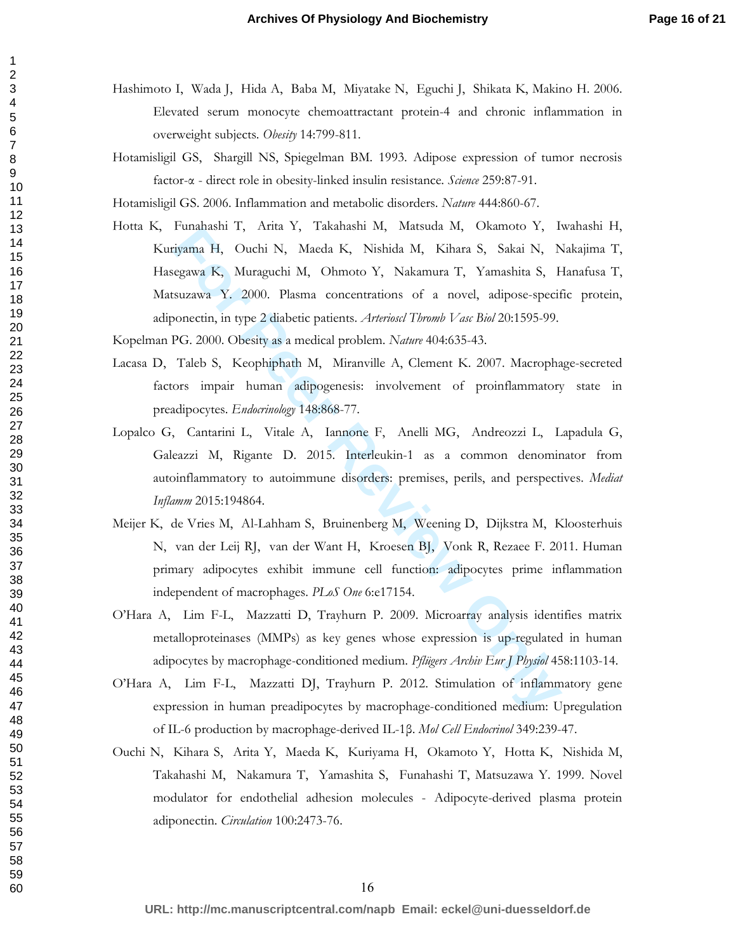- Hashimoto I, Wada J, Hida A, Baba M, Miyatake N, Eguchi J, Shikata K, Makino H. 2006. Elevated serum monocyte chemoattractant protein-4 and chronic inflammation in overweight subjects. *Obesity* 14:799-811.
- Hotamisligil GS, Shargill NS, Spiegelman BM. 1993. Adipose expression of tumor necrosis factor-α - direct role in obesity-linked insulin resistance. *Science* 259:87-91.

Hotamisligil GS. 2006. Inflammation and metabolic disorders. *Nature* 444:860-67.

Funanism 1, Anta 1, Takanasm in, Massuda in, Okamoo 1, Figman H, Ouchi N, Maeda K, Nishida M, Kihara S, Sakai N, Negawa K, Muraguchi M, Ohmoto Y, Nakamura T, Yamashita S, Fsuzawa Y. 2000. Plasma concentrations of a novel, Hotta K, Funahashi T, Arita Y, Takahashi M, Matsuda M, Okamoto Y, Iwahashi H, Kuriyama H, Ouchi N, Maeda K, Nishida M, Kihara S, Sakai N, Nakajima T, Hasegawa K, Muraguchi M, Ohmoto Y, Nakamura T, Yamashita S, Hanafusa T, Matsuzawa Y. 2000. Plasma concentrations of a novel, adipose-specific protein, adiponectin, in type 2 diabetic patients. *Arterioscl Thromb Vasc Biol* 20:1595-99.

Kopelman PG. 2000. Obesity as a medical problem. *Nature* 404:635-43.

- Lacasa D, Taleb S, Keophiphath M, Miranville A, Clement K. 2007. Macrophage-secreted factors impair human adipogenesis: involvement of proinflammatory state in preadipocytes. *Endocrinology* 148:868-77.
- Lopalco G, Cantarini L, Vitale A, Iannone F, Anelli MG, Andreozzi L, Lapadula G, Galeazzi M, Rigante D. 2015. Interleukin-1 as a common denominator from autoinflammatory to autoimmune disorders: premises, perils, and perspectives. *Mediat Inflamm* 2015:194864.
- Meijer K, de Vries M, Al-Lahham S, Bruinenberg M, Weening D, Dijkstra M, Kloosterhuis N, van der Leij RJ, van der Want H, Kroesen BJ, Vonk R, Rezaee F. 2011. Human primary adipocytes exhibit immune cell function: adipocytes prime inflammation independent of macrophages. *PLoS One* 6:e17154.
- O'Hara A, Lim F-L, Mazzatti D, Trayhurn P. 2009. Microarray analysis identifies matrix metalloproteinases (MMPs) as key genes whose expression is up-regulated in human adipocytes by macrophage-conditioned medium. *Pflügers Archiv Eur J Physiol* 458:1103-14.
- O'Hara A, Lim F-L, Mazzatti DJ, Trayhurn P. 2012. Stimulation of inflammatory gene expression in human preadipocytes by macrophage-conditioned medium: Upregulation of IL-6 production by macrophage-derived IL-1β. *Mol Cell Endocrinol* 349:239-47.
- Ouchi N, Kihara S, Arita Y, Maeda K, Kuriyama H, Okamoto Y, Hotta K, Nishida M, Takahashi M, Nakamura T, Yamashita S, Funahashi T, Matsuzawa Y. 1999. Novel modulator for endothelial adhesion molecules - Adipocyte-derived plasma protein adiponectin. *Circulation* 100:2473-76.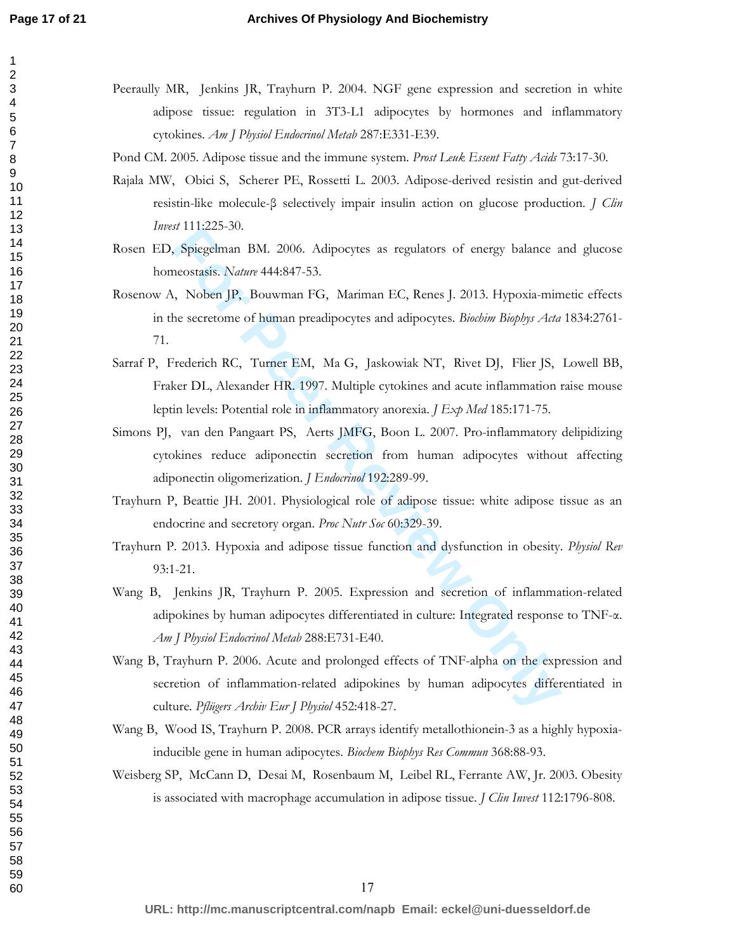## **Archives Of Physiology And Biochemistry**

- Peeraully MR, Jenkins JR, Trayhurn P. 2004. NGF gene expression and secretion in white adipose tissue: regulation in 3T3-L1 adipocytes by hormones and inflammatory cytokines. *Am J Physiol Endocrinol Metab* 287:E331-E39.
- Pond CM. 2005. Adipose tissue and the immune system. *Prost Leuk Essent Fatty Acids* 73:17-30.
- Rajala MW, Obici S, Scherer PE, Rossetti L. 2003. Adipose-derived resistin and gut-derived resistin-like molecule-β selectively impair insulin action on glucose production. *J Clin Invest* 111:225-30.
- Rosen ED, Spiegelman BM. 2006. Adipocytes as regulators of energy balance and glucose homeostasis. *Nature* 444:847-53.
- Rosenow A, Noben JP, Bouwman FG, Mariman EC, Renes J. 2013. Hypoxia-mimetic effects in the secretome of human preadipocytes and adipocytes. *Biochim Biophys Acta* 1834:2761- 71.
- Sarraf P, Frederich RC, Turner EM, Ma G, Jaskowiak NT, Rivet DJ, Flier JS, Lowell BB, Fraker DL, Alexander HR. 1997. Multiple cytokines and acute inflammation raise mouse leptin levels: Potential role in inflammatory anorexia. *J Exp Med* 185:171-75.
- *Is 111223-50.*<br> **For Peer Review And Solution** BM. 2006. Adipocytes as regulators of energy balance a<br>
reostasis. Nature 444-847-53.<br> **For PP, Bouwman FG, Mariman EC, Renes J. 2013.** Hypoxia-min<br>
free secretome of human p Simons PJ, van den Pangaart PS, Aerts JMFG, Boon L. 2007. Pro-inflammatory delipidizing cytokines reduce adiponectin secretion from human adipocytes without affecting adiponectin oligomerization. *J Endocrinol* 192:289-99.
- Trayhurn P, Beattie JH. 2001. Physiological role of adipose tissue: white adipose tissue as an endocrine and secretory organ. *Proc Nutr Soc* 60:329-39.
- Trayhurn P. 2013. Hypoxia and adipose tissue function and dysfunction in obesity. *Physiol Rev*  93:1-21.
- Wang B, Jenkins JR, Trayhurn P. 2005. Expression and secretion of inflammation-related adipokines by human adipocytes differentiated in culture: Integrated response to TNF-α. *Am J Physiol Endocrinol Metab* 288:E731-E40.
- Wang B, Trayhurn P. 2006. Acute and prolonged effects of TNF-alpha on the expression and secretion of inflammation-related adipokines by human adipocytes differentiated in culture. *Pflügers Archiv Eur J Physiol* 452:418-27.
- Wang B, Wood IS, Trayhurn P. 2008. PCR arrays identify metallothionein-3 as a highly hypoxiainducible gene in human adipocytes. *Biochem Biophys Res Commun* 368:88-93.
- Weisberg SP, McCann D, Desai M, Rosenbaum M, Leibel RL, Ferrante AW, Jr. 2003. Obesity is associated with macrophage accumulation in adipose tissue. *J Clin Invest* 112:1796-808.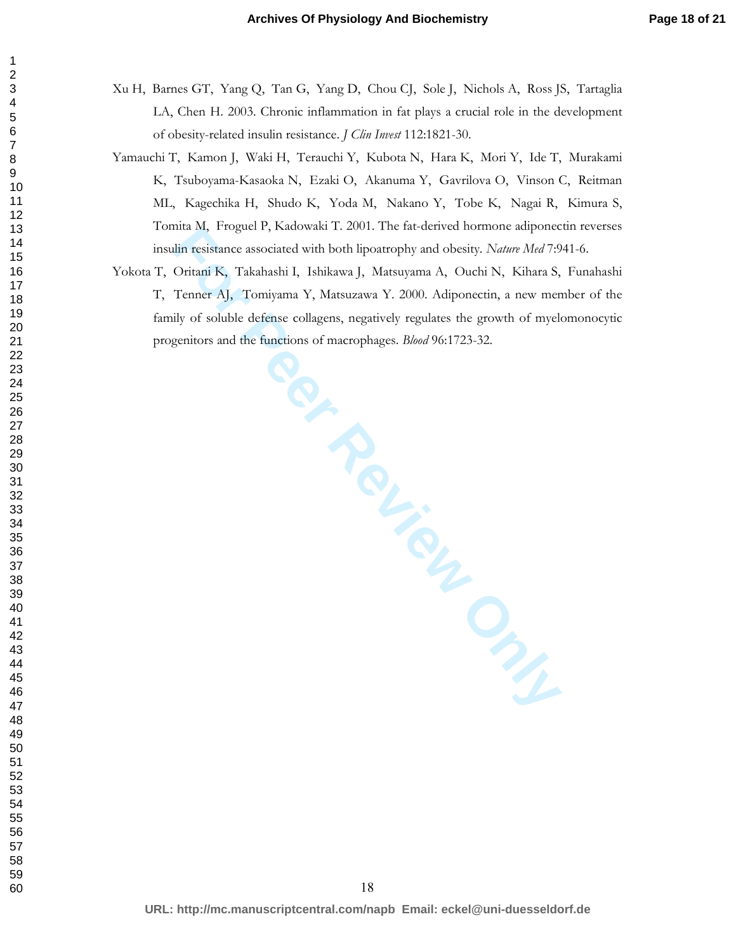- Xu H, Barnes GT, Yang Q, Tan G, Yang D, Chou CJ, Sole J, Nichols A, Ross JS, Tartaglia LA, Chen H. 2003. Chronic inflammation in fat plays a crucial role in the development of obesity-related insulin resistance. *J Clin Invest* 112:1821-30.
- Yamauchi T, Kamon J, Waki H, Terauchi Y, Kubota N, Hara K, Mori Y, Ide T, Murakami K, Tsuboyama-Kasaoka N, Ezaki O, Akanuma Y, Gavrilova O, Vinson C, Reitman ML, Kagechika H, Shudo K, Yoda M, Nakano Y, Tobe K, Nagai R, Kimura S, Tomita M, Froguel P, Kadowaki T. 2001. The fat-derived hormone adiponectin reverses insulin resistance associated with both lipoatrophy and obesity. *Nature Med* 7:941-6.
- ma M, Froguer F, Natowaki T. 2001. The Tate-derived nomione amponed<br>this resistance associated with both lipoatrophy and obesity. Nature Med 7:9<br>Oritani K, Takahashi I, Ishikawa J, Matsuzawa Y. 2000. Adiponectin, a new men Yokota T, Oritani K, Takahashi I, Ishikawa J, Matsuyama A, Ouchi N, Kihara S, Funahashi T, Tenner AJ, Tomiyama Y, Matsuzawa Y. 2000. Adiponectin, a new member of the family of soluble defense collagens, negatively regulates the growth of myelomonocytic progenitors and the functions of macrophages. *Blood* 96:1723-32.

**URL: http://mc.manuscriptcentral.com/napb Email: eckel@uni-duesseldorf.de**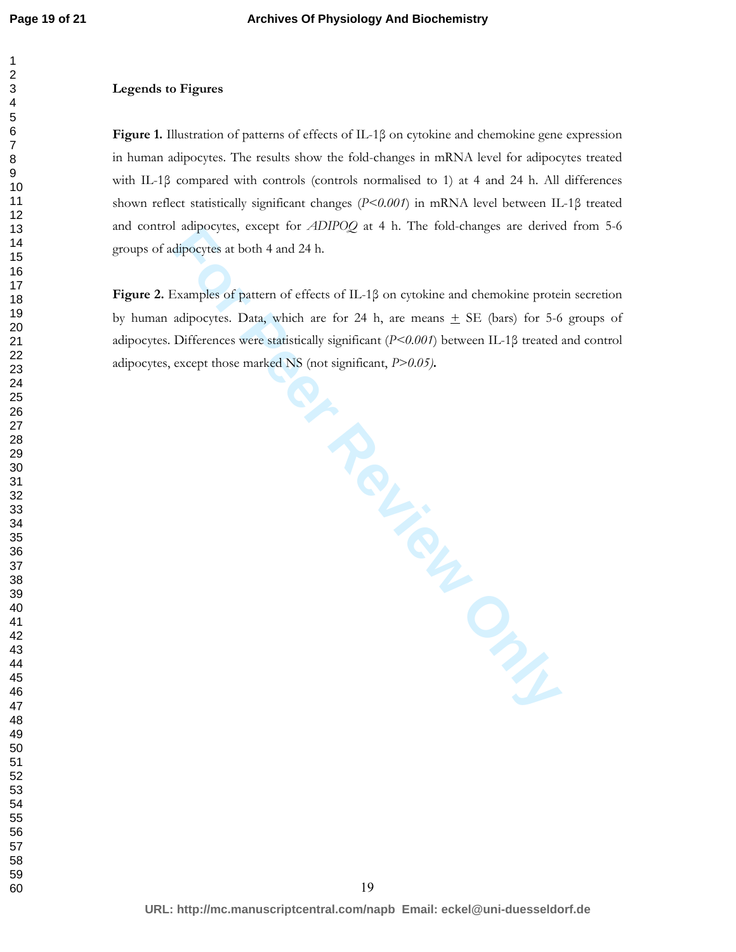#### **Legends to Figures**

**Figure 1.** Illustration of patterns of effects of IL-1β on cytokine and chemokine gene expression in human adipocytes. The results show the fold-changes in mRNA level for adipocytes treated with IL-1β compared with controls (controls normalised to 1) at 4 and 24 h. All differences shown reflect statistically significant changes (*P<0.001*) in mRNA level between IL-1β treated and control adipocytes, except for *ADIPOQ* at 4 h. The fold-changes are derived from 5-6 groups of adipocytes at both 4 and 24 h.

**For Peer Review Only Figure 2.** Examples of pattern of effects of IL-1β on cytokine and chemokine protein secretion by human adipocytes. Data, which are for 24 h, are means  $\pm$  SE (bars) for 5-6 groups of adipocytes. Differences were statistically significant (*P<0.001*) between IL-1β treated and control adipocytes, except those marked NS (not significant, *P>0.05)***.**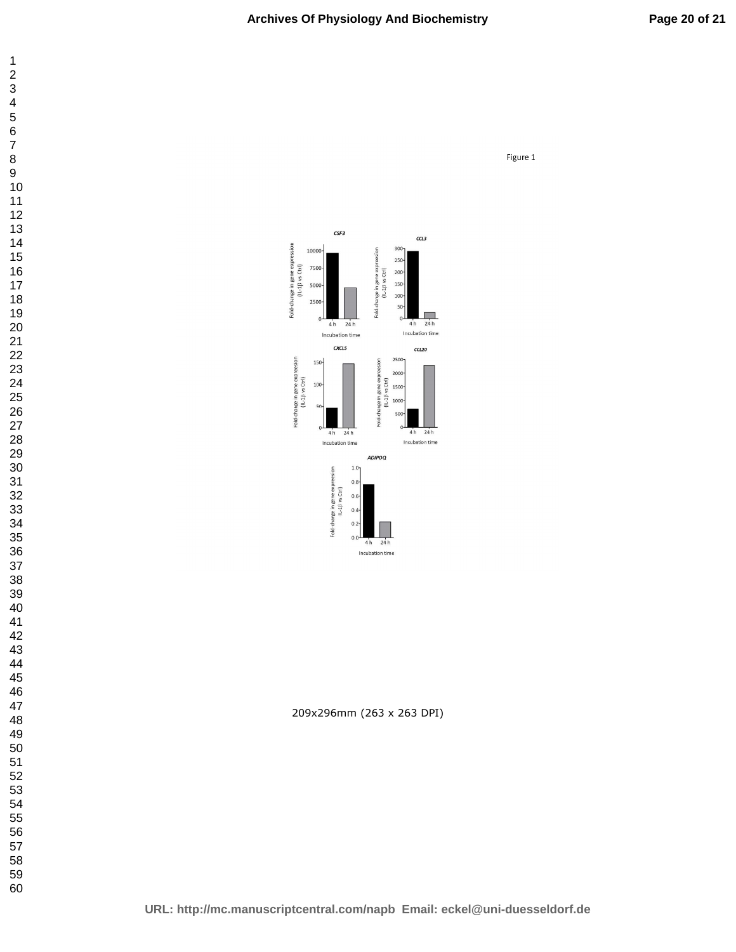Figure 1





209x296mm (263 x 263 DPI)